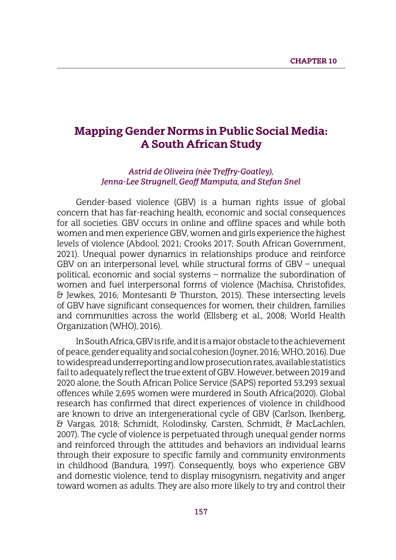# **Mapping Gender Norms in Public Social Media: A South African Study**

#### *Astrid de Oliveira (née Treffry-Goatley), Jenna-Lee Strugnell, Geoff Mamputa, and Stefan Snel*

Gender-based violence (GBV) is a human rights issue of global concern that has far-reaching health, economic and social consequences for all societies. GBV occurs in online and offline spaces and while both women and men experience GBV, women and girls experience the highest levels of violence (Abdool, 2021; Crooks 2017; South African Government, 2021). Unequal power dynamics in relationships produce and reinforce GBV on an interpersonal level, while structural forms of GBV – unequal political, economic and social systems – normalize the subordination of women and fuel interpersonal forms of violence (Machisa, Christofides, & Jewkes, 2016; Montesanti & Thurston, 2015). These intersecting levels of GBV have significant consequences for women, their children, families and communities across the world (Ellsberg et al., 2008; World Health Organization (WHO), 2016).

In South Africa, GBV is rife, and it is a major obstacle to the achievement of peace, gender equality and social cohesion (Joyner, 2016;WHO, 2016). Due to widespread underreporting and low prosecution rates, available statistics fail to adequately reflect the true extent of GBV. However, between 2019 and 2020 alone, the South African Police Service (SAPS) reported 53,293 sexual offences while 2,695 women were murdered in South Africa(2020). Global research has confirmed that direct experiences of violence in childhood are known to drive an intergenerational cycle of GBV (Carlson, Ikenberg, & Vargas, 2018; Schmidt, Kolodinsky, Carsten, Schmidt, & MacLachlen, 2007). The cycle of violence is perpetuated through unequal gender norms and reinforced through the attitudes and behaviors an individual learns through their exposure to specific family and community environments in childhood (Bandura, 1997). Consequently, boys who experience GBV and domestic violence, tend to display misogynism, negativity and anger toward women as adults. They are also more likely to try and control their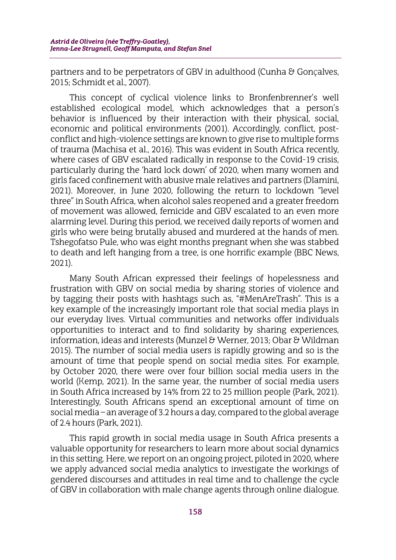partners and to be perpetrators of GBV in adulthood (Cunha & Gonçalves, 2015; Schmidt et al., 2007).

This concept of cyclical violence links to Bronfenbrenner's well established ecological model, which acknowledges that a person's behavior is influenced by their interaction with their physical, social, economic and political environments (2001). Accordingly, conflict, postconflict and high-violence settings are known to give rise to multiple forms of trauma (Machisa et al., 2016). This was evident in South Africa recently, where cases of GBV escalated radically in response to the Covid-19 crisis, particularly during the 'hard lock down' of 2020, when many women and girls faced confinement with abusive male relatives and partners (Dlamini, 2021). Moreover, in June 2020, following the return to lockdown "level three" in South Africa, when alcohol sales reopened and a greater freedom of movement was allowed, femicide and GBV escalated to an even more alarming level. During this period, we received daily reports of women and girls who were being brutally abused and murdered at the hands of men. Tshegofatso Pule, who was eight months pregnant when she was stabbed to death and left hanging from a tree, is one horrific example (BBC News, 2021).

Many South African expressed their feelings of hopelessness and frustration with GBV on social media by sharing stories of violence and by tagging their posts with hashtags such as, "#MenAreTrash". This is a key example of the increasingly important role that social media plays in our everyday lives. Virtual communities and networks offer individuals opportunities to interact and to find solidarity by sharing experiences, information, ideas and interests (Munzel & Werner, 2013; Obar & Wildman 2015). The number of social media users is rapidly growing and so is the amount of time that people spend on social media sites. For example, by October 2020, there were over four billion social media users in the world (Kemp, 2021). In the same year, the number of social media users in South Africa increased by 14% from 22 to 25 million people (Park, 2021). Interestingly, South Africans spend an exceptional amount of time on social media – an average of 3.2 hours a day, compared to the global average of 2.4 hours (Park, 2021).

This rapid growth in social media usage in South Africa presents a valuable opportunity for researchers to learn more about social dynamics in this setting. Here, we report on an ongoing project, piloted in 2020, where we apply advanced social media analytics to investigate the workings of gendered discourses and attitudes in real time and to challenge the cycle of GBV in collaboration with male change agents through online dialogue.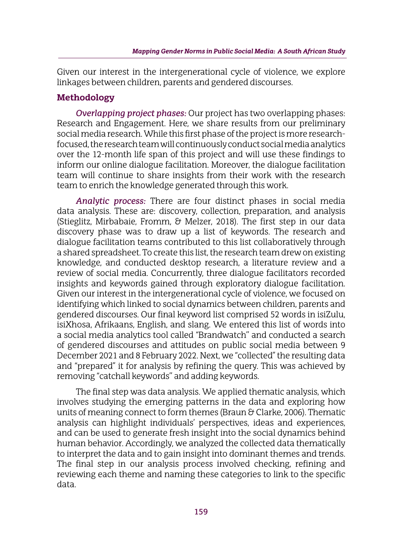Given our interest in the intergenerational cycle of violence, we explore linkages between children, parents and gendered discourses.

### **Methodology**

*Overlapping project phases:* Our project has two overlapping phases: Research and Engagement. Here, we share results from our preliminary social media research. While this first phase of the project is more researchfocused, the research team will continuously conduct social media analytics over the 12-month life span of this project and will use these findings to inform our online dialogue facilitation. Moreover, the dialogue facilitation team will continue to share insights from their work with the research team to enrich the knowledge generated through this work.

*Analytic process:* There are four distinct phases in social media data analysis. These are: discovery, collection, preparation, and analysis (Stieglitz, Mirbabaie, Fromm, & Melzer, 2018). The first step in our data discovery phase was to draw up a list of keywords. The research and dialogue facilitation teams contributed to this list collaboratively through a shared spreadsheet. To create this list, the research team drew on existing knowledge, and conducted desktop research, a literature review and a review of social media. Concurrently, three dialogue facilitators recorded insights and keywords gained through exploratory dialogue facilitation. Given our interest in the intergenerational cycle of violence, we focused on identifying which linked to social dynamics between children, parents and gendered discourses. Our final keyword list comprised 52 words in isiZulu, isiXhosa, Afrikaans, English, and slang. We entered this list of words into a social media analytics tool called "Brandwatch'' and conducted a search of gendered discourses and attitudes on public social media between 9 December 2021 and 8 February 2022. Next, we "collected" the resulting data and "prepared" it for analysis by refining the query. This was achieved by removing "catchall keywords'' and adding keywords.

The final step was data analysis. We applied thematic analysis, which involves studying the emerging patterns in the data and exploring how units of meaning connect to form themes (Braun & Clarke, 2006). Thematic analysis can highlight individuals' perspectives, ideas and experiences, and can be used to generate fresh insight into the social dynamics behind human behavior. Accordingly, we analyzed the collected data thematically to interpret the data and to gain insight into dominant themes and trends. The final step in our analysis process involved checking, refining and reviewing each theme and naming these categories to link to the specific data.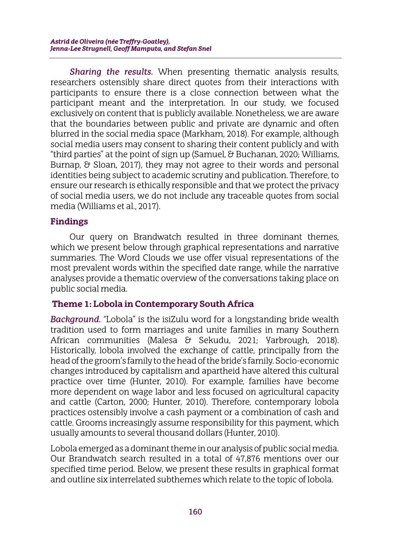*Sharing the results.* When presenting thematic analysis results, researchers ostensibly share direct quotes from their interactions with participants to ensure there is a close connection between what the participant meant and the interpretation. In our study, we focused exclusively on content that is publicly available. Nonetheless, we are aware that the boundaries between public and private are dynamic and often blurred in the social media space (Markham, 2018). For example, although social media users may consent to sharing their content publicly and with "third parties" at the point of sign up (Samuel, & Buchanan, 2020; Williams, Burnap, & Sloan, 2017), they may not agree to their words and personal identities being subject to academic scrutiny and publication. Therefore, to ensure our research is ethically responsible and that we protect the privacy of social media users, we do not include any traceable quotes from social media (Williams et al., 2017).

### **Findings**

Our query on Brandwatch resulted in three dominant themes, which we present below through graphical representations and narrative summaries. The Word Clouds we use offer visual representations of the most prevalent words within the specified date range, while the narrative analyses provide a thematic overview of the conversations taking place on public social media.

### **Theme 1: Lobola in Contemporary South Africa**

*Background.* "Lobola" is the isiZulu word for a longstanding bride wealth tradition used to form marriages and unite families in many Southern African communities (Malesa & Sekudu, 2021; Yarbrough, 2018). Historically, lobola involved the exchange of cattle, principally from the head of the groom's family to the head of the bride's family. Socio-economic changes introduced by capitalism and apartheid have altered this cultural practice over time (Hunter, 2010). For example, families have become more dependent on wage labor and less focused on agricultural capacity and cattle (Carton, 2000; Hunter, 2010). Therefore, contemporary lobola practices ostensibly involve a cash payment or a combination of cash and cattle. Grooms increasingly assume responsibility for this payment, which usually amounts to several thousand dollars (Hunter, 2010).

Lobola emerged as a dominant theme in our analysis of public social media. Our Brandwatch search resulted in a total of 47,876 mentions over our specified time period. Below, we present these results in graphical format and outline six interrelated subthemes which relate to the topic of lobola.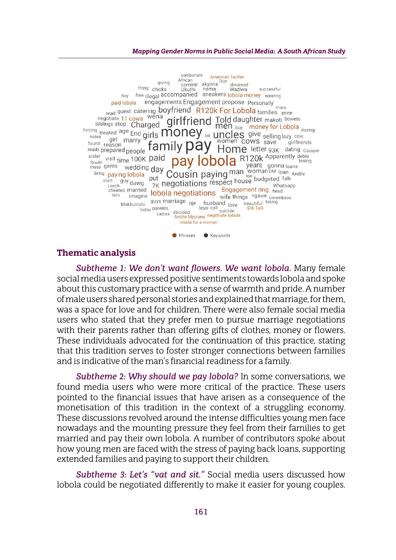#### *Mapping Gender Norms in Public Social Media: A South African Study*



#### **Thematic analysis**

*Subtheme 1: We don't want flowers. We want lobola.* Many female social media users expressed positive sentiments towards lobola and spoke about this customary practice with a sense of warmth and pride. A number of male users shared personal stories and explained that marriage, for them, was a space for love and for children. There were also female social media users who stated that they prefer men to pursue marriage negotiations with their parents rather than offering gifts of clothes, money or flowers. These individuals advocated for the continuation of this practice, stating that this tradition serves to foster stronger connections between families and is indicative of the man's financial readiness for a family.

*Subtheme 2: Why should we pay lobola?* In some conversations, we found media users who were more critical of the practice. These users pointed to the financial issues that have arisen as a consequence of the monetisation of this tradition in the context of a struggling economy. These discussions revolved around the intense difficulties young men face nowadays and the mounting pressure they feel from their families to get married and pay their own lobola. A number of contributors spoke about how young men are faced with the stress of paying back loans, supporting extended families and paying to support their children.

*Subtheme 3: Let's "vat and sit."* Social media users discussed how lobola could be negotiated differently to make it easier for young couples.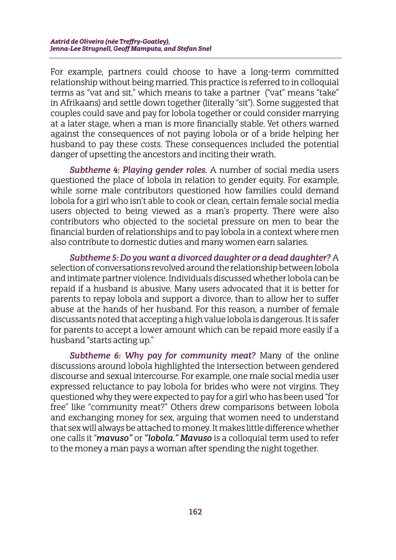For example, partners could choose to have a long-term committed relationship without being married. This practice is referred to in colloquial terms as "vat and sit," which means to take a partner ("vat" means "take" in Afrikaans) and settle down together (literally "sit"). Some suggested that couples could save and pay for lobola together or could consider marrying at a later stage, when a man is more financially stable. Yet others warned against the consequences of not paying lobola or of a bride helping her husband to pay these costs. These consequences included the potential danger of upsetting the ancestors and inciting their wrath.

*Subtheme 4: Playing gender roles.* A number of social media users questioned the place of lobola in relation to gender equity. For example, while some male contributors questioned how families could demand lobola for a girl who isn't able to cook or clean, certain female social media users objected to being viewed as a man's property. There were also contributors who objected to the societal pressure on men to bear the financial burden of relationships and to pay lobola in a context where men also contribute to domestic duties and many women earn salaries.

*Subtheme 5: Do you want a divorced daughter or a dead daughter?* A selection of conversations revolved around the relationship between lobola and intimate partner violence. Individuals discussed whether lobola can be repaid if a husband is abusive. Many users advocated that it is better for parents to repay lobola and support a divorce, than to allow her to suffer abuse at the hands of her husband. For this reason, a number of female discussants noted that accepting a high value lobola is dangerous. It is safer for parents to accept a lower amount which can be repaid more easily if a husband "starts acting up."

*Subtheme 6: Why pay for community meat?* Many of the online discussions around lobola highlighted the intersection between gendered discourse and sexual intercourse. For example, one male social media user expressed reluctance to pay lobola for brides who were not virgins. They questioned why they were expected to pay for a girl who has been used "for free" like "community meat?" Others drew comparisons between lobola and exchanging money for sex, arguing that women need to understand that sex will always be attached to money. It makes little difference whether one calls it "*mavuso"* or *"lobola." Mavuso* is a colloquial term used to refer to the money a man pays a woman after spending the night together.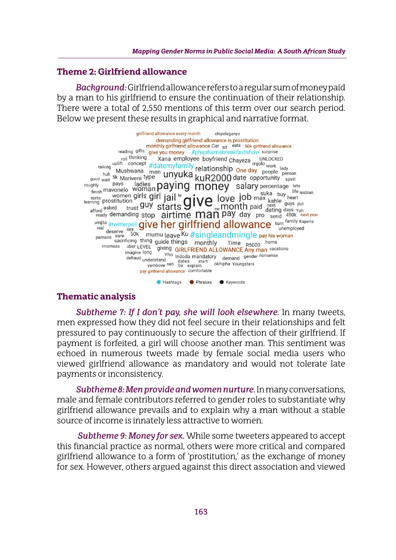#### **Theme 2: Girlfriend allowance**

*Background:*Girlfriend allowance refers to a regular sum of money paid by a man to his girlfriend to ensure the continuation of their relationship. There were a total of 2,550 mentions of this term over our search period. Below we present these results in graphical and narrative format.

girlfriend allowance every month chipeleganyo demanding girlfriend allowance is prostitution demanding girlfriend allowance is prostitution<br>monthly girlfriend allowance Car sit eats 50k girlfriend allow<br>reading gifts **give you money** #phaphamabreakfastshow surprise<br>roll thinking Xana employee boyfriend Chaveza UNL monthly girlfriend allowance Car sit eats 50k girlfriend allowance reading gifts **give you money** #phaphamabreakfastshow surprise<br>
talking uplit concept #datemyfamily relationship One day people berson<br>
talking uplit concept #datemyfamily relationship One day people berson<br>
who wait 5k Ma real *H*twitterpoli **GIVE NET GIFIITIEND allOWANCE** turn<br>
real deserve sex<br>
pamarili care 50k mumu leave Ku #singleandmingle pay his woman<br>
sacrificing thing guide things monthly Time R5000 home<br>
imomoza uber LEVEL giving marill sacrificing thing guide things<br>
imomoza uber LEVEL giving GIRLFRIEND ALLOWANCE Any man vacations<br>
imagine long The Indeeds mandatory<br>
Yho Indees mandatory The Indoca mandatory demand gender nonsense defraud <sub>understand</sub> nderstand dates start demand senses<br>yambove <sup>neh</sup> ba explain okhipha Youngsters pay girlfriend allowance comfortable

#### **Thematic analysis**

*Subtheme 7: If I don't pay, she will look elsewhere.* In many tweets, men expressed how they did not feel secure in their relationships and felt pressured to pay continuously to secure the affection of their girlfriend. If payment is forfeited, a girl will choose another man. This sentiment was echoed in numerous tweets made by female social media users who viewed girlfriend allowance as mandatory and would not tolerate late payments or inconsistency.

Hashtags Phrases CKeywords

*Subtheme 8: Men provide and women nurture.* In many conversations, male and female contributors referred to gender roles to substantiate why girlfriend allowance prevails and to explain why a man without a stable source of income is innately less attractive to women.

*Subtheme 9: Money for sex.* While some tweeters appeared to accept this financial practice as normal, others were more critical and compared girlfriend allowance to a form of 'prostitution,' as the exchange of money for sex. However, others argued against this direct association and viewed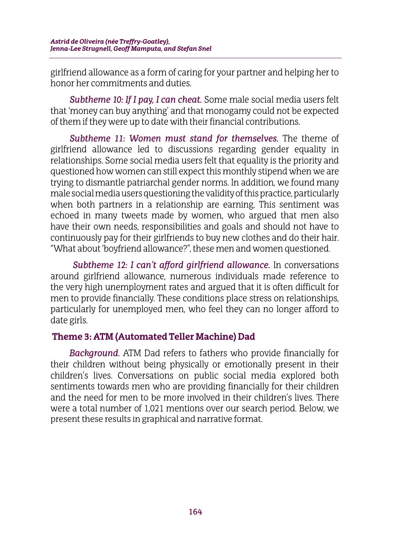girlfriend allowance as a form of caring for your partner and helping her to honor her commitments and duties.

*Subtheme 10: If I pay, I can cheat.* Some male social media users felt that 'money can buy anything' and that monogamy could not be expected of them if they were up to date with their financial contributions.

*Subtheme 11: Women must stand for themselves.* The theme of girlfriend allowance led to discussions regarding gender equality in relationships. Some social media users felt that equality is the priority and questioned how women can still expect this monthly stipend when we are trying to dismantle patriarchal gender norms. In addition, we found many male social media users questioning the validity of this practice, particularly when both partners in a relationship are earning. This sentiment was echoed in many tweets made by women, who argued that men also have their own needs, responsibilities and goals and should not have to continuously pay for their girlfriends to buy new clothes and do their hair. "What about 'boyfriend allowance?", these men and women questioned.

*Subtheme 12: I can't afford girlfriend allowance.* In conversations around girlfriend allowance, numerous individuals made reference to the very high unemployment rates and argued that it is often difficult for men to provide financially. These conditions place stress on relationships, particularly for unemployed men, who feel they can no longer afford to date girls.

## **Theme 3: ATM (Automated Teller Machine) Dad**

*Background.* ATM Dad refers to fathers who provide financially for their children without being physically or emotionally present in their children's lives. Conversations on public social media explored both sentiments towards men who are providing financially for their children and the need for men to be more involved in their children's lives. There were a total number of 1,021 mentions over our search period. Below, we present these results in graphical and narrative format.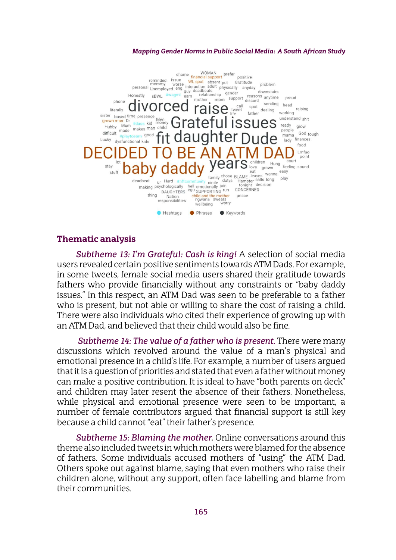#### *Mapping Gender Norms in Public Social Media: A South African Study*



#### **Thematic analysis**

*Subtheme 13: I'm Grateful: Cash is king!* A selection of social media users revealed certain positive sentiments towards ATM Dads. For example, in some tweets, female social media users shared their gratitude towards fathers who provide financially without any constraints or "baby daddy issues." In this respect, an ATM Dad was seen to be preferable to a father who is present, but not able or willing to share the cost of raising a child. There were also individuals who cited their experience of growing up with an ATM Dad, and believed that their child would also be fine.

*Subtheme 14: The value of a father who is present.* There were many discussions which revolved around the value of a man's physical and emotional presence in a child's life. For example, a number of users argued that it is a question of priorities and stated that even a father without money can make a positive contribution. It is ideal to have "both parents on deck" and children may later resent the absence of their fathers. Nonetheless, while physical and emotional presence were seen to be important, a number of female contributors argued that financial support is still key because a child cannot "eat" their father's presence.

*Subtheme 15: Blaming the mother.* Online conversations around this theme also included tweets in which mothers were blamed for the absence of fathers. Some individuals accused mothers of "using" the ATM Dad. Others spoke out against blame, saying that even mothers who raise their children alone, without any support, often face labelling and blame from their communities.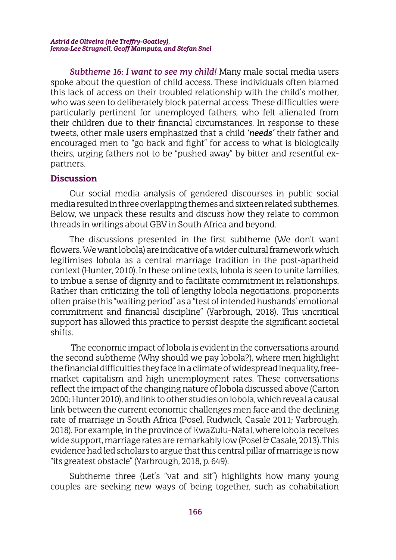*Subtheme 16: I want to see my child!* Many male social media users spoke about the question of child access. These individuals often blamed this lack of access on their troubled relationship with the child's mother, who was seen to deliberately block paternal access. These difficulties were particularly pertinent for unemployed fathers, who felt alienated from their children due to their financial circumstances. In response to these tweets, other male users emphasized that a child *'needs'* their father and encouraged men to "go back and fight" for access to what is biologically theirs, urging fathers not to be "pushed away" by bitter and resentful expartners.

### **Discussion**

Our social media analysis of gendered discourses in public social media resulted in three overlapping themes and sixteen related subthemes. Below, we unpack these results and discuss how they relate to common threads in writings about GBV in South Africa and beyond.

The discussions presented in the first subtheme (We don't want flowers.We want lobola) are indicative of a wider cultural framework which legitimises lobola as a central marriage tradition in the post-apartheid context (Hunter, 2010). In these online texts, lobola is seen to unite families, to imbue a sense of dignity and to facilitate commitment in relationships. Rather than criticizing the toll of lengthy lobola negotiations, proponents often praise this "waiting period" as a "test of intended husbands' emotional commitment and financial discipline" (Yarbrough, 2018). This uncritical support has allowed this practice to persist despite the significant societal shifts.

 The economic impact of lobola is evident in the conversations around the second subtheme (Why should we pay lobola?), where men highlight the financial difficulties they face in a climate of widespread inequality, freemarket capitalism and high unemployment rates. These conversations reflect the impact of the changing nature of lobola discussed above (Carton 2000; Hunter 2010), and link to other studies on lobola, which reveal a causal link between the current economic challenges men face and the declining rate of marriage in South Africa (Posel, Rudwick, Casale 2011; Yarbrough, 2018). For example, in the province of KwaZulu-Natal, where lobola receives wide support, marriage rates are remarkably low (Posel & Casale, 2013). This evidence had led scholars to argue that this central pillar of marriage is now "its greatest obstacle" (Yarbrough, 2018, p. 649).

Subtheme three (Let's "vat and sit") highlights how many young couples are seeking new ways of being together, such as cohabitation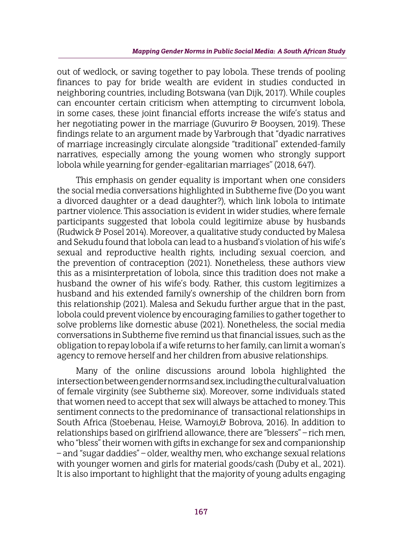out of wedlock, or saving together to pay lobola. These trends of pooling finances to pay for bride wealth are evident in studies conducted in neighboring countries, including Botswana (van Dijk, 2017). While couples can encounter certain criticism when attempting to circumvent lobola, in some cases, these joint financial efforts increase the wife's status and her negotiating power in the marriage (Guvuriro & Booysen, 2019). These findings relate to an argument made by Yarbrough that "dyadic narratives of marriage increasingly circulate alongside "traditional" extended-family narratives, especially among the young women who strongly support lobola while yearning for gender-egalitarian marriages'' (2018, 647).

This emphasis on gender equality is important when one considers the social media conversations highlighted in Subtheme five (Do you want a divorced daughter or a dead daughter?), which link lobola to intimate partner violence. This association is evident in wider studies, where female participants suggested that lobola could legitimize abuse by husbands (Rudwick & Posel 2014). Moreover, a qualitative study conducted by Malesa and Sekudu found that lobola can lead to a husband's violation of his wife's sexual and reproductive health rights, including sexual coercion, and the prevention of contraception (2021). Nonetheless, these authors view this as a misinterpretation of lobola, since this tradition does not make a husband the owner of his wife's body. Rather, this custom legitimizes a husband and his extended family's ownership of the children born from this relationship (2021). Malesa and Sekudu further argue that in the past, lobola could prevent violence by encouraging families to gather together to solve problems like domestic abuse (2021). Nonetheless, the social media conversations in Subtheme five remind us that financial issues, such as the obligation to repay lobola if a wife returns to her family, can limit a woman's agency to remove herself and her children from abusive relationships.

Many of the online discussions around lobola highlighted the intersection between gender norms and sex, including the cultural valuation of female virginity (see Subtheme six). Moreover, some individuals stated that women need to accept that sex will always be attached to money. This sentiment connects to the predominance of transactional relationships in South Africa (Stoebenau, Heise, Wamoyi, & Bobrova, 2016). In addition to relationships based on girlfriend allowance, there are "blessers" – rich men, who "bless" their women with gifts in exchange for sex and companionship – and "sugar daddies" – older, wealthy men, who exchange sexual relations with younger women and girls for material goods/cash (Duby et al., 2021). It is also important to highlight that the majority of young adults engaging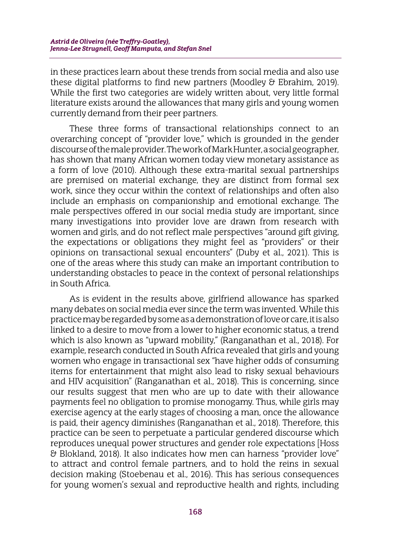in these practices learn about these trends from social media and also use these digital platforms to find new partners (Moodley & Ebrahim, 2019). While the first two categories are widely written about, very little formal literature exists around the allowances that many girls and young women currently demand from their peer partners.

These three forms of transactional relationships connect to an overarching concept of "provider love," which is grounded in the gender discourse of the male provider. The work of Mark Hunter, a social geographer, has shown that many African women today view monetary assistance as a form of love (2010). Although these extra-marital sexual partnerships are premised on material exchange, they are distinct from formal sex work, since they occur within the context of relationships and often also include an emphasis on companionship and emotional exchange. The male perspectives offered in our social media study are important, since many investigations into provider love are drawn from research with women and girls, and do not reflect male perspectives "around gift giving, the expectations or obligations they might feel as "providers" or their opinions on transactional sexual encounters" (Duby et al., 2021). This is one of the areas where this study can make an important contribution to understanding obstacles to peace in the context of personal relationships in South Africa.

As is evident in the results above, girlfriend allowance has sparked many debates on social media ever since the term was invented. While this practice may be regarded by some as a demonstration of love or care, it is also linked to a desire to move from a lower to higher economic status, a trend which is also known as "upward mobility," (Ranganathan et al., 2018). For example, research conducted in South Africa revealed that girls and young women who engage in transactional sex "have higher odds of consuming items for entertainment that might also lead to risky sexual behaviours and HIV acquisition" (Ranganathan et al., 2018). This is concerning, since our results suggest that men who are up to date with their allowance payments feel no obligation to promise monogamy. Thus, while girls may exercise agency at the early stages of choosing a man, once the allowance is paid, their agency diminishes (Ranganathan et al., 2018). Therefore, this practice can be seen to perpetuate a particular gendered discourse which reproduces unequal power structures and gender role expectations [Hoss & Blokland, 2018). It also indicates how men can harness "provider love" to attract and control female partners, and to hold the reins in sexual decision making (Stoebenau et al., 2016). This has serious consequences for young women's sexual and reproductive health and rights, including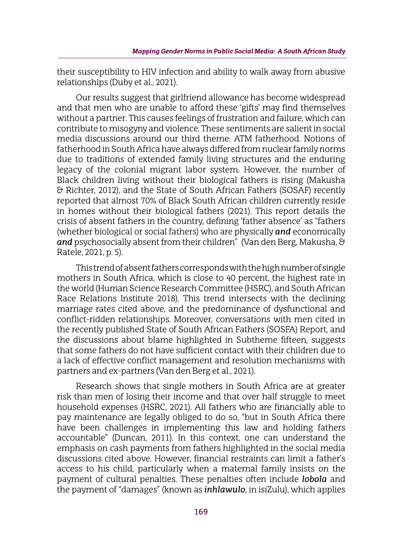their susceptibility to HIV infection and ability to walk away from abusive relationships (Duby et al., 2021).

Our results suggest that girlfriend allowance has become widespread and that men who are unable to afford these 'gifts' may find themselves without a partner. This causes feelings of frustration and failure, which can contribute to misogyny and violence. These sentiments are salient in social media discussions around our third theme: ATM fatherhood. Notions of fatherhood in South Africa have always differed from nuclear family norms due to traditions of extended family living structures and the enduring legacy of the colonial migrant labor system. However, the number of Black children living without their biological fathers is rising (Makusha & Richter, 2012), and the State of South African Fathers (SOSAF) recently reported that almost 70% of Black South African children currently reside in homes without their biological fathers (2021). This report details the crisis of absent fathers in the country, defining 'father absence' as "fathers (whether biological or social fathers) who are physically *and* economically *and* psychosocially absent from their children" (Van den Berg, Makusha, & Ratele, 2021, p. 5).

This trend of absent fathers corresponds with the high number of single mothers in South Africa, which is close to 40 percent, the highest rate in the world (Human Science Research Committee (HSRC), and South African Race Relations Institute 2018). This trend intersects with the declining marriage rates cited above, and the predominance of dysfunctional and conflict-ridden relationships. Moreover, conversations with men cited in the recently published State of South African Fathers (SOSFA) Report, and the discussions about blame highlighted in Subtheme fifteen, suggests that some fathers do not have sufficient contact with their children due to a lack of effective conflict management and resolution mechanisms with partners and ex-partners (Van den Berg et al., 2021).

Research shows that single mothers in South Africa are at greater risk than men of losing their income and that over half struggle to meet household expenses (HSRC, 2021). All fathers who are financially able to pay maintenance are legally obliged to do so, "but in South Africa there have been challenges in implementing this law and holding fathers accountable" (Duncan, 2011). In this context, one can understand the emphasis on cash payments from fathers highlighted in the social media discussions cited above. However, financial restraints can limit a father's access to his child, particularly when a maternal family insists on the payment of cultural penalties. These penalties often include *lobola* and the payment of "damages" (known as *inhlawulo*, in isiZulu), which applies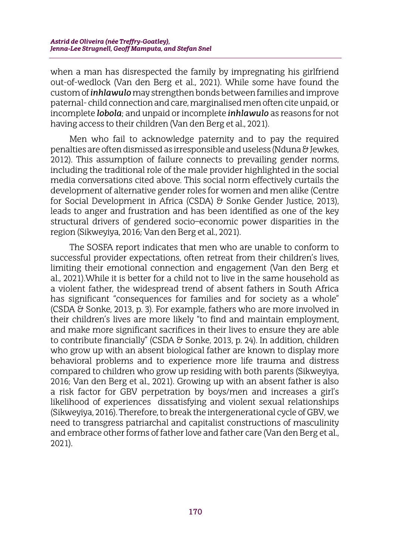when a man has disrespected the family by impregnating his girlfriend out-of-wedlock (Van den Berg et al., 2021). While some have found the custom of *inhlawulo* may strengthen bonds between families and improve paternal- child connection and care, marginalised men often cite unpaid, or incomplete *lobola*; and unpaid or incomplete *inhlawulo* as reasons for not having access to their children (Van den Berg et al., 2021).

Men who fail to acknowledge paternity and to pay the required penalties are often dismissed as irresponsible and useless (Nduna & Jewkes, 2012). This assumption of failure connects to prevailing gender norms, including the traditional role of the male provider highlighted in the social media conversations cited above. This social norm effectively curtails the development of alternative gender roles for women and men alike (Centre for Social Development in Africa (CSDA) & Sonke Gender Justice, 2013), leads to anger and frustration and has been identified as one of the key structural drivers of gendered socio–economic power disparities in the region (Sikweyiya, 2016; Van den Berg et al., 2021).

The SOSFA report indicates that men who are unable to conform to successful provider expectations, often retreat from their children's lives, limiting their emotional connection and engagement (Van den Berg et al., 2021).While it is better for a child not to live in the same household as a violent father, the widespread trend of absent fathers in South Africa has significant "consequences for families and for society as a whole" (CSDA & Sonke, 2013, p. 3). For example, fathers who are more involved in their children's lives are more likely "to find and maintain employment, and make more significant sacrifices in their lives to ensure they are able to contribute financially" (CSDA & Sonke, 2013, p. 24). In addition, children who grow up with an absent biological father are known to display more behavioral problems and to experience more life trauma and distress compared to children who grow up residing with both parents (Sikweyiya, 2016; Van den Berg et al., 2021). Growing up with an absent father is also a risk factor for GBV perpetration by boys/men and increases a girl's likelihood of experiences dissatisfying and violent sexual relationships (Sikweyiya, 2016). Therefore, to break the intergenerational cycle of GBV, we need to transgress patriarchal and capitalist constructions of masculinity and embrace other forms of father love and father care (Van den Berg et al., 2021).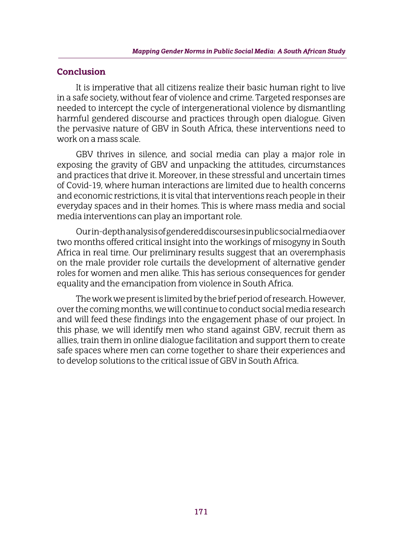### **Conclusion**

It is imperative that all citizens realize their basic human right to live in a safe society, without fear of violence and crime. Targeted responses are needed to intercept the cycle of intergenerational violence by dismantling harmful gendered discourse and practices through open dialogue. Given the pervasive nature of GBV in South Africa, these interventions need to work on a mass scale.

GBV thrives in silence, and social media can play a major role in exposing the gravity of GBV and unpacking the attitudes, circumstances and practices that drive it. Moreover, in these stressful and uncertain times of Covid-19, where human interactions are limited due to health concerns and economic restrictions, it is vital that interventions reach people in their everyday spaces and in their homes. This is where mass media and social media interventions can play an important role.

Our in-depth analysis of gendered discourses in public social media over two months offered critical insight into the workings of misogyny in South Africa in real time. Our preliminary results suggest that an overemphasis on the male provider role curtails the development of alternative gender roles for women and men alike. This has serious consequences for gender equality and the emancipation from violence in South Africa.

The work we present is limited by the brief period of research. However, over the coming months, we will continue to conduct social media research and will feed these findings into the engagement phase of our project. In this phase, we will identify men who stand against GBV, recruit them as allies, train them in online dialogue facilitation and support them to create safe spaces where men can come together to share their experiences and to develop solutions to the critical issue of GBV in South Africa.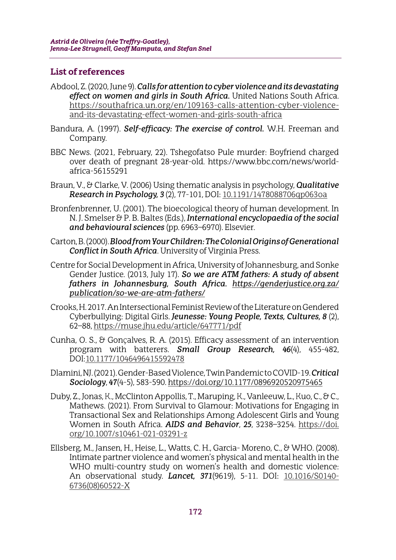## **List of references**

- Abdool, Z. (2020, June 9). *Calls for attention to cyber violence and its devastating effect on women and girls in South Africa.* United Nations South Africa. https://southafrica.un.org/en/109163-calls-attention-cyber-violenceand-its-devastating-effect-women-and-girls-south-africa
- Bandura, A. (1997). *Self-efficacy: The exercise of control.* W.H. Freeman and Company.
- BBC News. (2021, February, 22). Tshegofatso Pule murder: Boyfriend charged over death of pregnant 28-year-old. https://www.bbc.com/news/worldafrica-56155291
- Braun, V., & Clarke, V. (2006) Using thematic analysis in psychology, *Qualitative Research in Psychology, 3* (2), 77-101, DOI: 10.1191/1478088706qp063oa
- Bronfenbrenner, U. (2001). The bioecological theory of human development. In N. J. Smelser & P. B. Baltes (Eds.), *International encyclopaedia of the social and behavioural sciences* (pp. 6963–6970). Elsevier.
- Carton, B. (2000). *Blood from Your Children: The Colonial Origins of Generational Conflict in South Africa*. University of Virginia Press.
- Centre for Social Development in Africa, University of Johannesburg, and Sonke Gender Justice. (2013, July 17). *So we are ATM fathers: A study of absent fathers in Johannesburg, South Africa. https://genderjustice.org.za/ publication/so-we-are-atm-fathers/*
- Crooks, H. 2017. An Intersectional Feminist Review of the Literature on Gendered Cyberbullying: Digital Girls. *Jeunesse: Young People, Texts, Cultures, 8* (2), 62–88, https://muse.jhu.edu/article/647771/pdf
- Cunha, O. S., & Gonçalves, R. A. (2015). Efficacy assessment of an intervention program with batterers. *Small Group Research, 46*(4), 455-482, DOI:10.1177/1046496415592478
- Dlamini, NJ. (2021). Gender-Based Violence, Twin Pandemic to COVID-19.*Critical Sociology*, *47*(4-5), 583-590. https://doi.org/10.1177/0896920520975465
- Duby, Z., Jonas, K., McClinton Appollis, T., Maruping, K., Vanleeuw, L., Kuo, C., & C., Mathews. (2021). From Survival to Glamour: Motivations for Engaging in Transactional Sex and Relationships Among Adolescent Girls and Young Women in South Africa. *AIDS and Behavior*, *25*, 3238–3254. https://doi. org/10.1007/s10461-021-03291-z
- Ellsberg, M., Jansen, H., Heise, L., Watts, C. H., Garcia- Moreno, C., & WHO. (2008). Intimate partner violence and women's physical and mental health in the WHO multi-country study on women's health and domestic violence: An observational study. *Lancet, 371*(9619), 5-11. DOI: 10.1016/S0140- 6736(08)60522-X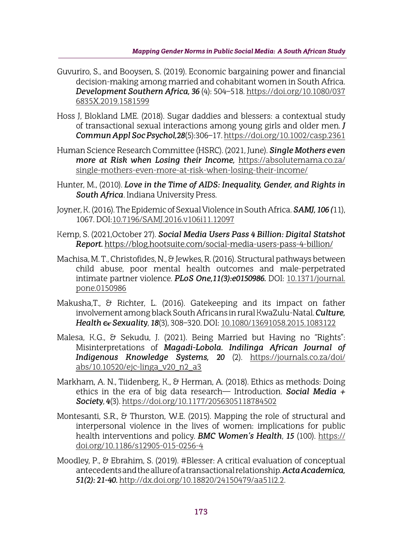- Guvuriro, S., and Booysen, S. (2019). Economic bargaining power and financial decision-making among married and cohabitant women in South Africa. *Development Southern Africa, 36* (4): 504–518. https://doi.org/10.1080/037 6835X.2019.1581599
- Hoss J, Blokland LME. (2018). Sugar daddies and blessers: a contextual study of transactional sexual interactions among young girls and older men. *J Commun Appl Soc Psychol,28*(5):306–17. https://doi.org/10.1002/casp.2361
- Human Science Research Committee (HSRC). (2021, June). *Single Mothers even more at Risk when Losing their Income,* https://absolutemama.co.za/ single-mothers-even-more-at-risk-when-losing-their-income/
- Hunter, M., (2010). *Love in the Time of AIDS: Inequality, Gender, and Rights in South Africa*. Indiana University Press.
- Joyner, K. (2016). The Epidemic of Sexual Violence in South Africa. *SAMJ, 106 (*11), 1067. DOI:10.7196/SAMJ.2016.v106i11.12097
- Kemp, S. (2021,October 27). *Social Media Users Pass 4 Billion: Digital Statshot Report.* https://blog.hootsuite.com/social-media-users-pass-4-billion/
- Machisa, M. T., Christofides, N., & Jewkes, R. (2016). Structural pathways between child abuse, poor mental health outcomes and male-perpetrated intimate partner violence. *PLoS One,11(3):e0150986.* DOI: 10.1371/journal. pone.0150986
- Makusha,T., & Richter, L. (2016). Gatekeeping and its impact on father involvement among black South Africans in rural KwaZulu-Natal. *Culture, Health & Sexuality*, *18*(3), 308–320. DOI: 10.1080/13691058.2015.1083122
- Malesa, K.G., & Sekudu, J. (2021). Being Married but Having no "Rights": Misinterpretations of *Magadi-Lobola. Indilinga African Journal of Indigenous Knowledge Systems, 20* (2). https://journals.co.za/doi/ abs/10.10520/ejc-linga\_v20\_n2\_a3
- Markham, A. N., Tiidenberg, K., & Herman, A. (2018). Ethics as methods: Doing ethics in the era of big data research— Introduction. *Social Media + Society*, *4*(3). https://doi.org/10.1177/2056305118784502
- Montesanti, S.R., & Thurston, W.E. (2015). Mapping the role of structural and interpersonal violence in the lives of women: implications for public health interventions and policy. *BMC Women's Health*, *15* (100). https:// doi.org/10.1186/s12905-015-0256-4
- Moodley, P., & Ebrahim, S. (2019). #Blesser: A critical evaluation of conceptual antecedents and the allure of a transactional relationship. *Acta Academica, 51(2): 21-40.* http://dx.doi.org/10.18820/24150479/aa51i2.2.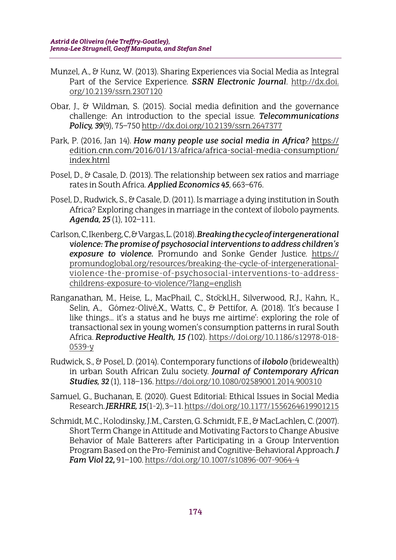- Munzel, A., & Kunz, W. (2013). Sharing Experiences via Social Media as Integral Part of the Service Experience. *SSRN Electronic Journal*. http://dx.doi. org/10.2139/ssrn.2307120
- Obar, J., & Wildman, S. (2015). Social media definition and the governance challenge: An introduction to the special issue. *Telecommunications Policy, 39*(9), 75–750 http://dx.doi.org/10.2139/ssrn.2647377
- Park, P. (2016, Jan 14). *How many people use social media in Africa?* https:// edition.cnn.com/2016/01/13/africa/africa-social-media-consumption/ index.html
- Posel, D., & Casale, D. (2013). The relationship between sex ratios and marriage rates in South Africa. *Applied Economics 45*, 663–676.
- Posel, D., Rudwick, S., & Casale, D. (2011). Is marriage a dying institution in South Africa? Exploring changes in marriage in the context of ilobolo payments. *Agenda, 25* (1), 102–111.
- Carlson, C, Ikenberg, C, & Vargas, L. (2018). *Breaking the cycle of intergenerational violence: The promise of psychosocial interventions to address children's exposure to violence.* Promundo and Sonke Gender Justice. https:// promundoglobal.org/resources/breaking-the-cycle-of-intergenerationalviolence-the-promise-of-psychosocial-interventions-to-addresschildrens-exposure-to-violence/?lang=english
- Ranganathan, M., Heise, L., MacPhail, C., Stockl.H., Silverwood, R.J., Kahn, K., Selin, A., Gómez-Olivé,X., Watts, C., & Pettifor, A. (2018). 'It's because I like things... it's a status and he buys me airtime': exploring the role of transactional sex in young women's consumption patterns in rural South Africa. *Reproductive Health, 15 (*102). https://doi.org/10.1186/s12978-018- 0539-y
- Rudwick, S., & Posel, D. (2014). Contemporary functions of *ilobolo* (bridewealth) in urban South African Zulu society. *Journal of Contemporary African Studies, 32* (1), 118–136. https://doi.org/10.1080/02589001.2014.900310
- Samuel, G., Buchanan, E. (2020). Guest Editorial: Ethical Issues in Social Media Research. *JERHRE, 15*(1-2), 3–11. https://doi.org/10.1177/1556264619901215
- Schmidt, M.C., Kolodinsky, J.M., Carsten, G.Schmidt, F.E., & MacLachlen, C. (2007). Short Term Change in Attitude and Motivating Factors to Change Abusive Behavior of Male Batterers after Participating in a Group Intervention Program Based on the Pro-Feminist and Cognitive-Behavioral Approach.*J Fam Viol 22***,** 91–100. https://doi.org/10.1007/s10896-007-9064-4